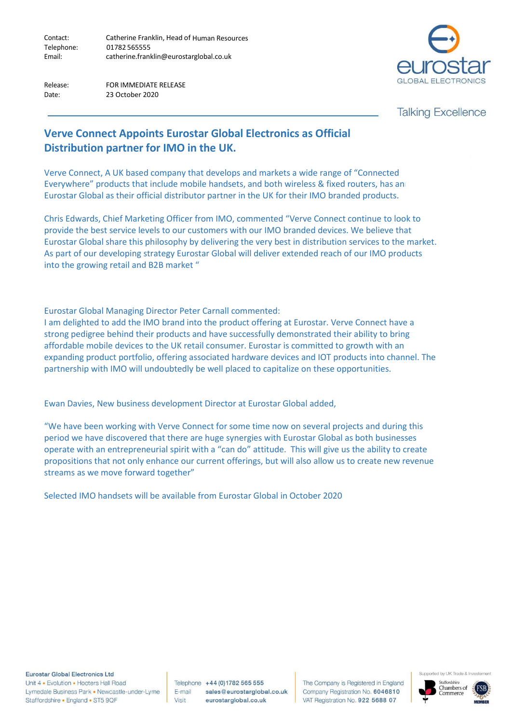Contact: Catherine Franklin, Head of Human Resources 01782 565555 Email: [catherine.franklin@eurostarglobal.co.uk](mailto:catherine.franklin@eurostarglobal.co.uk) Telephone:

Release: FOR IMMEDIATE RELEASE Date: 23 October 2020



**Talking Excellence** 

## **Verve Connect Appoints Eurostar Global Electronics as Official Distribution partner for IMO in the UK.**

Verve Connect, A UK based company that develops and markets a wide range of "Connected Everywhere" products that include mobile handsets, and both wireless & fixed routers, has an Eurostar Global as their official distributor partner in the UK for their IMO branded products.

Chris Edwards, Chief Marketing Officer from IMO, commented "Verve Connect continue to look to provide the best service levels to our customers with our IMO branded devices. We believe that Eurostar Global share this philosophy by delivering the very best in distribution services to the market. As part of our developing strategy Eurostar Global will deliver extended reach of our IMO products into the growing retail and B2B market "

Eurostar Global Managing Director Peter Carnall commented:

I am delighted to add the IMO brand into the product offering at Eurostar. Verve Connect have a strong pedigree behind their products and have successfully demonstrated their ability to bring affordable mobile devices to the UK retail consumer. Eurostar is committed to growth with an expanding product portfolio, offering associated hardware devices and IOT products into channel. The partnership with IMO will undoubtedly be well placed to capitalize on these opportunities.

Ewan Davies, New business development Director at Eurostar Global added,

"We have been working with Verve Connect for some time now on several projects and during this period we have discovered that there are huge synergies with Eurostar Global as both businesses operate with an entrepreneurial spirit with a "can do" attitude. This will give us the ability to create propositions that not only enhance our current offerings, but will also allow us to create new revenue streams as we move forward together"

Selected IMO handsets will be available from Eurostar Global in October 2020

**Eurostar Global Electronics Ltd** 

Unit 4 • Evolution • Hooters Hall Road Lymedale Business Park . Newcastle-under-Lyme Staffordshire • England • ST5 9QF

Telephone +44 (0) 1782 565 555 E-mail sales@eurostarglobal.co.uk Visit eurostarglobal.co.uk

The Company is Registered in England Company Registration No. 6046810 VAT Registration No. 922 5688 07



Supported by UK Trade & Inve